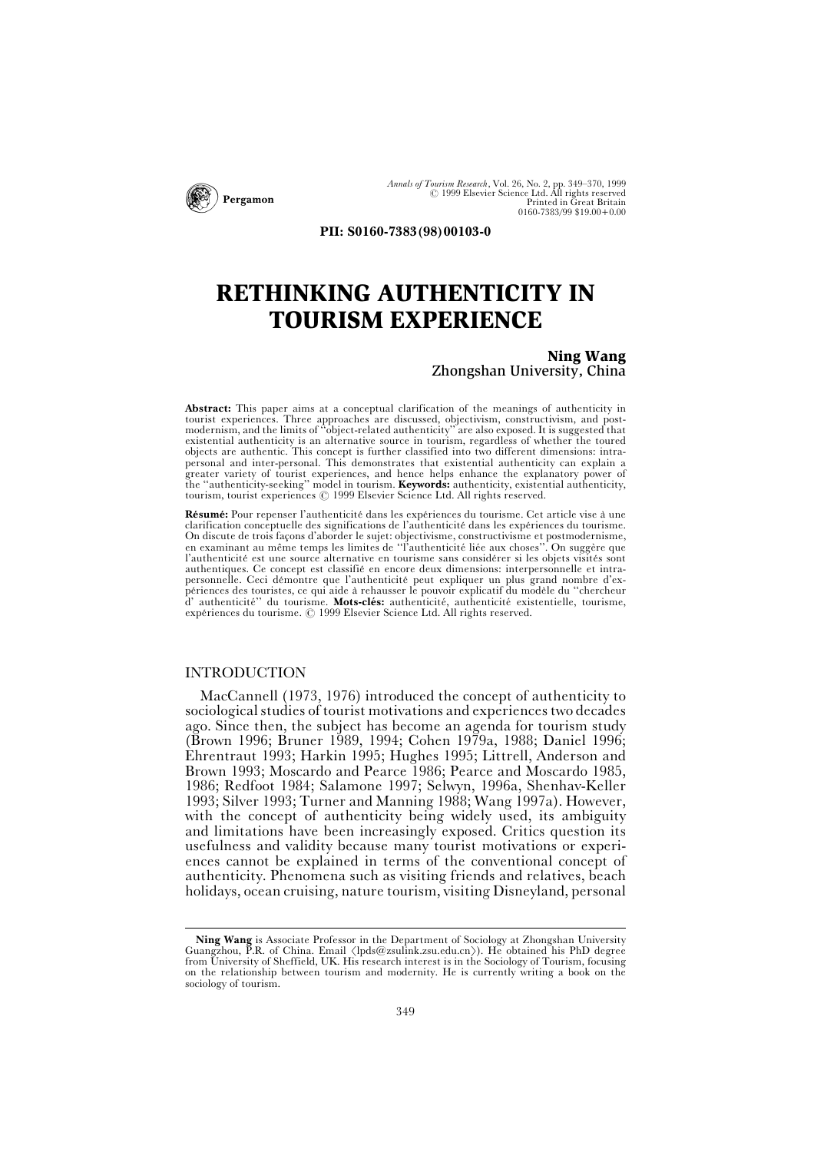

*Annals of Tourism Research*, Vol. 26, No. 2, pp. 349–370, 1999<br> *Q* 1999 Elsevier Science Ltd. All rights reserved<br>
Printed in Great Britain 0160-7383/99 \$19.00+0.00

**PII: S0160-7383(98)00103-0**

## **RETHINKING AUTHENTICITY IN TOURISM EXPERIENCE**

#### **Ning Wang** Zhongshan University, China

**Abstract:** This paper aims at a conceptual clarification of the meanings of authenticity in tourist experiences. Three approaches are discussed, objectivism, constructivism, and post-<br>modernism, and the limits of "object-related authenticity" are also exposed. It is suggested that existential authenticity is an alternative source in tourism, regardless of whether the toured objects are authentic. This concept is further classified into two different dimensions: intrapersonal and inter-personal. This demonstrates that existential authenticity can explain a greater variety of tourist experiences, and hence helps enhance the explanatory power of the "authenticity-seeking" model in tourism. **Keywords:** authenticity, existential authenticity,<br>tourism, tourist experiences © 1999 Elsevier Science Ltd. All rights reserved.

Résumé: Pour repenser l'authenticité dans les expériences du tourisme. Cet article vise à une clarification conceptuelle des significations de l'authenticité dans les expériences du tourisme. On discute de trois façons d'aborder le sujet: objectivisme, constructivisme et postmodernisme,<br>en examinant au même temps les limites de "l'authenticité liée aux choses". On suggère que l'authenticité est une source alternative en tourisme sans considérer si les objets visités sont authentiques. Ce concept est classifie en encore deux dimensions: interpersonnelle et intrapersonnelle. Ceci démontre que l'authenticité peut expliquer un plus grand nombre d'ex-<br>périences des touristes, ce qui aide à rehausser le pouvoir explicatif du modèle du "chercheur d' authenticité" du tourisme. Mots-clés: authenticité, authenticité existentielle, tourisme, expériences du tourisme.  $\oslash$  1999 Elsevier Science Ltd. All rights reserved.

### INTRODUCTION

MacCannell (1973, 1976) introduced the concept of authenticity to sociological studies of tourist motivations and experiences two decades ago. Since then, the subject has become an agenda for tourism study (Brown 1996; Bruner 1989, 1994; Cohen 1979a, 1988; Daniel 1996; Ehrentraut 1993; Harkin 1995; Hughes 1995; Littrell, Anderson and Brown 1993; Moscardo and Pearce 1986; Pearce and Moscardo 1985, 1986; Redfoot 1984; Salamone 1997; Selwyn, 1996a, Shenhav-Keller 1993; Silver 1993; Turner and Manning 1988; Wang 1997a). However, with the concept of authenticity being widely used, its ambiguity and limitations have been increasingly exposed. Critics question its usefulness and validity because many tourist motivations or experiences cannot be explained in terms of the conventional concept of authenticity. Phenomena such as visiting friends and relatives, beach holidays, ocean cruising, nature tourism, visiting Disneyland, personal

**Ning Wang** is Associate Professor in the Department of Sociology at Zhongshan University Guangzhou, P.R. of China. Email  $\langle$ lpds@zsulink.zsu.edu.cn $\rangle$ ). He obtained his PhD degree from University of Sheffield, UK. His research interest is in the Sociology of Tourism, focusing on the relationship between tourism and modernity. He is currently writing a book on the sociology of tourism.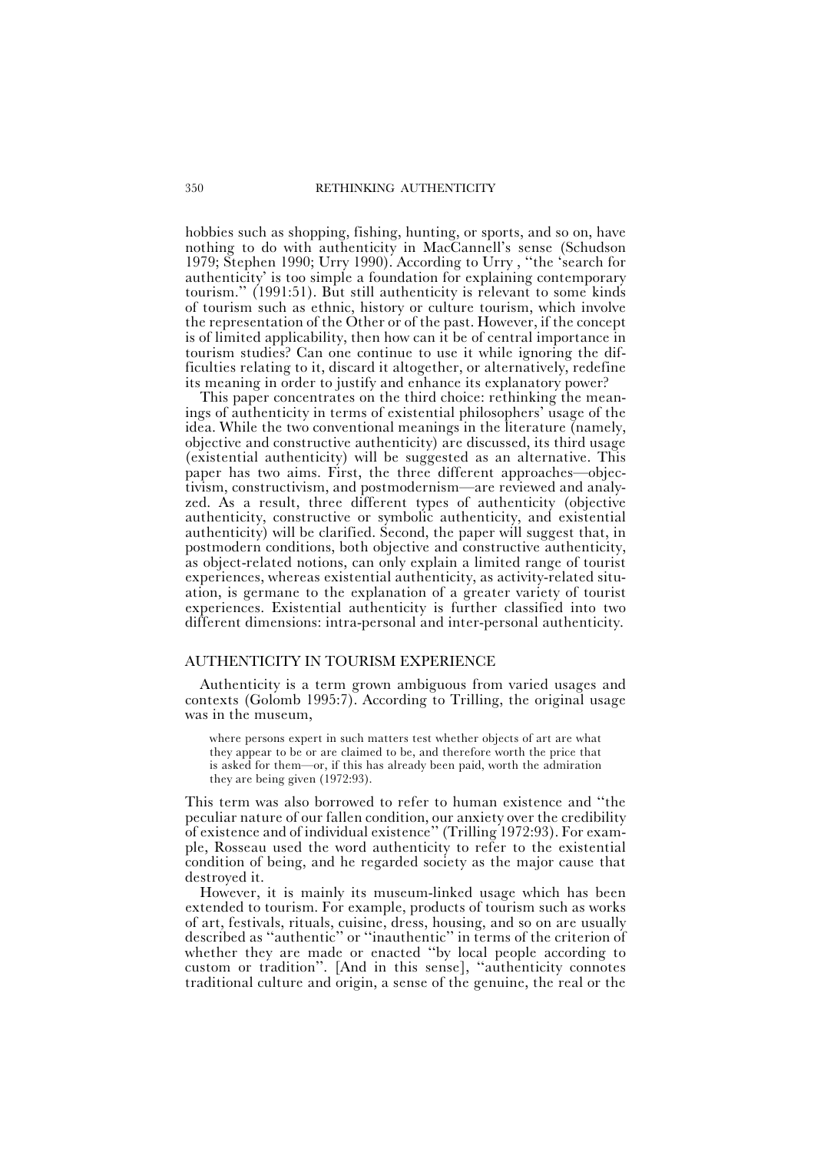hobbies such as shopping, fishing, hunting, or sports, and so on, have nothing to do with authenticity in MacCannell's sense (Schudson 1979; Stephen 1990; Urry 1990). According to Urry, "the 'search for authenticity' is too simple a foundation for explaining contemporary tourism." (1991:51). But still authenticity is relevant to some kinds of tourism such as ethnic, history or culture tourism, which involve the representation of the Other or of the past. However, if the concept is of limited applicability, then how can it be of central importance in tourism studies? Can one continue to use it while ignoring the difficulties relating to it, discard it altogether, or alternatively, redefine its meaning in order to justify and enhance its explanatory power?

This paper concentrates on the third choice: rethinking the meanings of authenticity in terms of existential philosophers' usage of the idea. While the two conventional meanings in the literature (namely, objective and constructive authenticity) are discussed, its third usage (existential authenticity) will be suggested as an alternative. This paper has two aims. First, the three different approaches-objectivism, constructivism, and postmodernism—are reviewed and analyzed. As a result, three different types of authenticity (objective authenticity, constructive or symbolic authenticity, and existential authenticity) will be clarified. Second, the paper will suggest that, in postmodern conditions, both objective and constructive authenticity, as object-related notions, can only explain a limited range of tourist experiences, whereas existential authenticity, as activity-related situation, is germane to the explanation of a greater variety of tourist experiences. Existential authenticity is further classified into two different dimensions: intra-personal and inter-personal authenticity.

#### AUTHENTICITY IN TOURISM EXPERIENCE

Authenticity is a term grown ambiguous from varied usages and contexts (Golomb 1995:7). According to Trilling, the original usage was in the museum,

where persons expert in such matters test whether objects of art are what they appear to be or are claimed to be, and therefore worth the price that is asked for them—or, if this has already been paid, worth the admiration they are being given (1972:93).

This term was also borrowed to refer to human existence and "the peculiar nature of our fallen condition, our anxiety over the credibility of existence and of individual existence|| (Trilling 1972:93). For example, Rosseau used the word authenticity to refer to the existential condition of being, and he regarded society as the major cause that destroyed it.

However, it is mainly its museum-linked usage which has been extended to tourism. For example, products of tourism such as works of art, festivals, rituals, cuisine, dress, housing, and so on are usually described as "authentic" or "inauthentic" in terms of the criterion of whether they are made or enacted "by local people according to custom or tradition". [And in this sense], "authenticity connotes traditional culture and origin, a sense of the genuine, the real or the